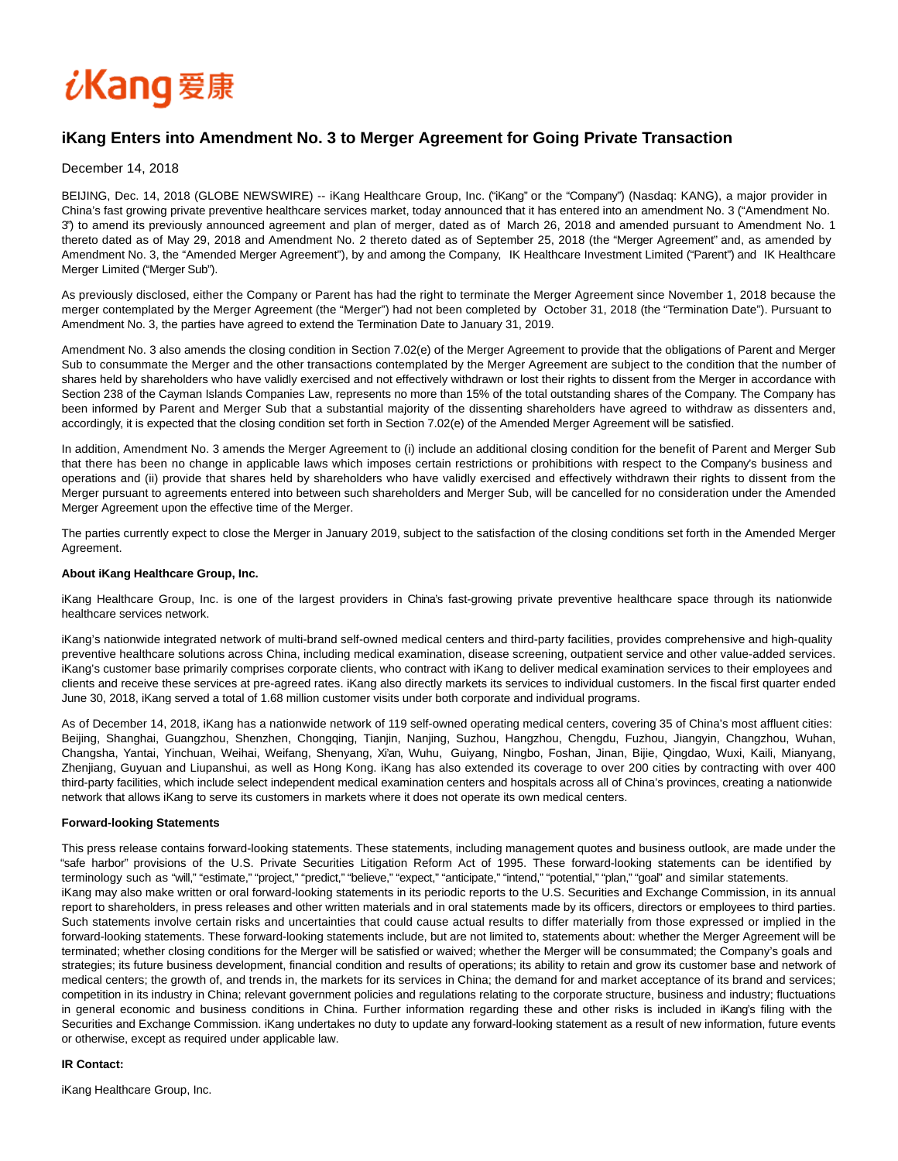# iKang 爱康

## **iKang Enters into Amendment No. 3 to Merger Agreement for Going Private Transaction**

December 14, 2018

BEIJING, Dec. 14, 2018 (GLOBE NEWSWIRE) -- iKang Healthcare Group, Inc. ("iKang" or the "Company") (Nasdaq: KANG), a major provider in China's fast growing private preventive healthcare services market, today announced that it has entered into an amendment No. 3 ("Amendment No. 3") to amend its previously announced agreement and plan of merger, dated as of March 26, 2018 and amended pursuant to Amendment No. 1 thereto dated as of May 29, 2018 and Amendment No. 2 thereto dated as of September 25, 2018 (the "Merger Agreement" and, as amended by Amendment No. 3, the "Amended Merger Agreement"), by and among the Company, IK Healthcare Investment Limited ("Parent") and IK Healthcare Merger Limited ("Merger Sub").

As previously disclosed, either the Company or Parent has had the right to terminate the Merger Agreement since November 1, 2018 because the merger contemplated by the Merger Agreement (the "Merger") had not been completed by October 31, 2018 (the "Termination Date"). Pursuant to Amendment No. 3, the parties have agreed to extend the Termination Date to January 31, 2019.

Amendment No. 3 also amends the closing condition in Section 7.02(e) of the Merger Agreement to provide that the obligations of Parent and Merger Sub to consummate the Merger and the other transactions contemplated by the Merger Agreement are subject to the condition that the number of shares held by shareholders who have validly exercised and not effectively withdrawn or lost their rights to dissent from the Merger in accordance with Section 238 of the Cayman Islands Companies Law, represents no more than 15% of the total outstanding shares of the Company. The Company has been informed by Parent and Merger Sub that a substantial majority of the dissenting shareholders have agreed to withdraw as dissenters and, accordingly, it is expected that the closing condition set forth in Section 7.02(e) of the Amended Merger Agreement will be satisfied.

In addition, Amendment No. 3 amends the Merger Agreement to (i) include an additional closing condition for the benefit of Parent and Merger Sub that there has been no change in applicable laws which imposes certain restrictions or prohibitions with respect to the Company's business and operations and (ii) provide that shares held by shareholders who have validly exercised and effectively withdrawn their rights to dissent from the Merger pursuant to agreements entered into between such shareholders and Merger Sub, will be cancelled for no consideration under the Amended Merger Agreement upon the effective time of the Merger.

The parties currently expect to close the Merger in January 2019, subject to the satisfaction of the closing conditions set forth in the Amended Merger Agreement.

### **About iKang Healthcare Group, Inc.**

iKang Healthcare Group, Inc. is one of the largest providers in China's fast-growing private preventive healthcare space through its nationwide healthcare services network.

iKang's nationwide integrated network of multi-brand self-owned medical centers and third-party facilities, provides comprehensive and high-quality preventive healthcare solutions across China, including medical examination, disease screening, outpatient service and other value-added services. iKang's customer base primarily comprises corporate clients, who contract with iKang to deliver medical examination services to their employees and clients and receive these services at pre-agreed rates. iKang also directly markets its services to individual customers. In the fiscal first quarter ended June 30, 2018, iKang served a total of 1.68 million customer visits under both corporate and individual programs.

As of December 14, 2018, iKang has a nationwide network of 119 self-owned operating medical centers, covering 35 of China's most affluent cities: Beijing, Shanghai, Guangzhou, Shenzhen, Chongqing, Tianjin, Nanjing, Suzhou, Hangzhou, Chengdu, Fuzhou, Jiangyin, Changzhou, Wuhan, Changsha, Yantai, Yinchuan, Weihai, Weifang, Shenyang, Xi'an, Wuhu, Guiyang, Ningbo, Foshan, Jinan, Bijie, Qingdao, Wuxi, Kaili, Mianyang, Zhenjiang, Guyuan and Liupanshui, as well as Hong Kong. iKang has also extended its coverage to over 200 cities by contracting with over 400 third-party facilities, which include select independent medical examination centers and hospitals across all of China's provinces, creating a nationwide network that allows iKang to serve its customers in markets where it does not operate its own medical centers.

### **Forward-looking Statements**

This press release contains forward-looking statements. These statements, including management quotes and business outlook, are made under the "safe harbor" provisions of the U.S. Private Securities Litigation Reform Act of 1995. These forward-looking statements can be identified by terminology such as "will," "estimate," "project," "predict," "believe," "expect," "anticipate," "intend," "potential," "plan," "goal" and similar statements. iKang may also make written or oral forward-looking statements in its periodic reports to the U.S. Securities and Exchange Commission, in its annual report to shareholders, in press releases and other written materials and in oral statements made by its officers, directors or employees to third parties. Such statements involve certain risks and uncertainties that could cause actual results to differ materially from those expressed or implied in the forward-looking statements. These forward-looking statements include, but are not limited to, statements about: whether the Merger Agreement will be terminated; whether closing conditions for the Merger will be satisfied or waived; whether the Merger will be consummated; the Company's goals and strategies; its future business development, financial condition and results of operations; its ability to retain and grow its customer base and network of medical centers; the growth of, and trends in, the markets for its services in China; the demand for and market acceptance of its brand and services; competition in its industry in China; relevant government policies and regulations relating to the corporate structure, business and industry; fluctuations in general economic and business conditions in China. Further information regarding these and other risks is included in iKang's filing with the Securities and Exchange Commission. iKang undertakes no duty to update any forward-looking statement as a result of new information, future events or otherwise, except as required under applicable law.

### **IR Contact:**

iKang Healthcare Group, Inc.